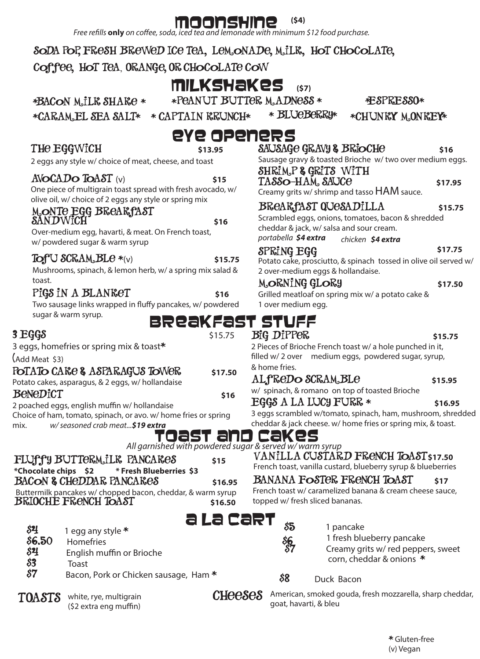**Free refills only** on coffee, soda, iced tea and lemonade with minimum \$12 food purchase.

### Soda pop, Fresh Brewed Ice Tea, lemonade, Milk, Hot chocolate,

coffee, hot tea, Orange, Or Chocolate cow

# Milkshakes **(\$7)**

\*BACON M.ILK SHAKE \* \* PEANUT BUTTER M.ADNESS \* \* \* ESPRESSO\*

\*CARAMEL SEA SALT\* \* CAPTAIN KRUNCH\* \* BLUEBERRY\* \* CHUNKY MONKEY\*

\* Blueberry\*

Sausage gravy & toasted Brioche w/ two over medium eggs.

TASSO-HAM, SAUCO<sup>6</sup> 517.95

Breakfast Quesadilla **\$15.75** Scrambled eggs, onions, tomatoes, bacon & shredded

Potato cake, prosciutto, & spinach tossed in olive oil served w/

Creamy grits w/ shrimp and tasso HAM sauce.

cheddar & jack, w/ salsa and sour cream. *portabella \$4 extra chicken \$4 extra*

2 over-medium eggs & hollandaise.

\$17.75

## The Eggwich **\$13.95**

### eye openers SAUSAGE GRAVY & BRIOCHE \$16

2 eggs any style w/ choice of meat, cheese, and toast

### $A\text{VOCADO ToAST}$  (v)  $$15$

One piece of multigrain toast spread with fresh avocado, w/ olive oil, w/ choice of 2 eggs any style or spring mix

### Monte Egg Breakfast  $SANDWICH$  \$16

Over-medium egg, havarti, & meat. On French toast, w/ powdered sugar & warm syrup

### $TOTU$   $SCRAM$ ,  $BLe * (v)$   $S15.75$

Mushrooms, spinach, & lemon herb, w/ a spring mix salad & toast.

### Pi**GS** IN A BLANKET \$16

Two sausage links wrapped in fluffy pancakes, w/ powdered sugar & warm syrup. BReaKFast<br>sts.75

### $3$   $E$  $G$  $S$

3 eggs, homefries or spring mix & toast\*

(Add Meat \$3)

### POTATO CARE & ASPARAGUS TOWER \$17.50

Potato cakes, asparagus, & 2 eggs, w/ hollandaise BeneDict s<sub>16</sub>

2 poached eggs, english muffin w/ hollandaise Choice of ham, tomato, spinach, or avo. w/ home fries or spring mix. *w/ seasoned crab meat...\$19 extra*

# Toast and Cakes

*All garnished with powdered sugar & served w/ warm syrup*

| FLUff'y BUTTERM.ILK PANCARES                                                                     | \$15    |
|--------------------------------------------------------------------------------------------------|---------|
|                                                                                                  |         |
| <b>BACON &amp; CHEDDAR PANCARES</b>                                                              | \$16.95 |
| Buttermilk pancakes w/chopped bacon, cheddar, & warm syrup<br><b>BRIOCHE FRENCH TOAST</b> 516.50 | \$16.50 |
|                                                                                                  | aiac    |

- $\frac{1}{2}$  1 egg any style  $*$  $$6.50$  Homefries  $$4$  English muffin or Brioche
- \$3Toast
- Bacon, Pork or Chicken sausage, Ham \*

TOASTS white, rye, multigrain (\$2 extra eng muffin)

| MORNING GLORY                                     | \$17.50 |
|---------------------------------------------------|---------|
| Grilled meatloaf on spring mix w/ a potato cake & |         |
| 1 over medium egg.                                |         |
| r stuff<br>BiG DiPPER                             | \$15.75 |

2 Pieces of Brioche French toast w/ a hole punched in it, filled w/ 2 over medium eggs, powdered sugar, syrup, & home fries.

### ALfReDO SCRAM<sub>s</sub>BLe \$15.95

w/ spinach, & romano on top of toasted Brioche

### $EGGS A LA LUCY FURR *$  \$16.95

Shrimp & Grits with

Spring Egg

3 eggs scrambled w/tomato, spinach, ham, mushroom, shredded cheddar & jack cheese. w/ home fries or spring mix, & toast.

Vanilla Custard French Toast**\$17.50**

French toast, vanilla custard, blueberry syrup & blueberries

### BANANA FOSTER FRENCH TOAST \$17

French toast w/ caramelized banana & cream cheese sauce, topped w/ fresh sliced bananas.



 $\delta \mathbf{k}$ 

 $\delta$ **5** 1 pancake

1 fresh blueberry pancake Creamy grits w/ red peppers, sweet

corn, cheddar & onions \*

### \$8 Duck Bacon

 $CHeeSeS$  American, smoked gouda, fresh mozzarella, sharp cheddar, goat, havarti, & bleu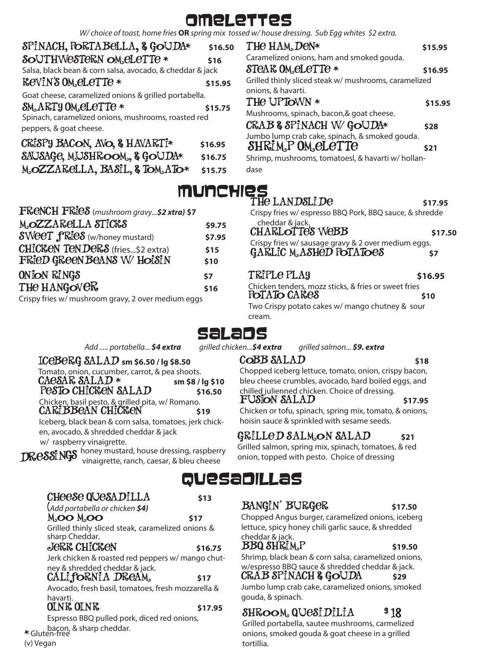# omelettes

*W/ choice of toast, home fries* **OR** *spring mix tossed w/ house dressing. Sub Egg whites \$2 extra.*

| SPINACH, PORTABELLA, & GOUDA*                                                                          | \$16.50                       |
|--------------------------------------------------------------------------------------------------------|-------------------------------|
| SOUTHWESTERN OM ELETTE *                                                                               | \$16                          |
| Salsa, black bean & corn salsa, avocado, & cheddar & jack                                              |                               |
| <b>ReVIN'S OM ELETTE *</b>                                                                             | \$15.95                       |
| Goat cheese, caramelized onions & grilled portabella.                                                  |                               |
| SM.ARTY OM. ELETTE *<br>Spinach, caramelized onions, mushrooms, roasted red<br>peppers, & goat cheese. | \$15.75                       |
| CRISPY BACON, AVO, & HAVARTI*<br>SAUSAGE, MUSHROOM., & GOUDA*<br>MOZZARELLA, BASIL, & TOM ATO*         | \$16.95<br>\$16.75<br>\$15.75 |

| FRENCH FRIES (mushroom gravy\$2 xtra) \$7                      |              |
|----------------------------------------------------------------|--------------|
| M.OZZARCLLA STICKS                                             | \$9.75       |
| <b>SWeeT fRieS</b> (w/honey mustard)                           | \$7.95       |
| CHICKEN TENDERS (fries\$2 extra)<br>FRIED GREEN BEANS W/HOISIN | \$15<br>\$10 |
| ONION RINGS                                                    | \$7          |
| THE HANGOVER                                                   | \$16         |
| Crispy fries w/ mushroom gravy, 2 over medium eggs             |              |

| <b>JA*</b> | \$16.50      | THE HAM, DEN*                                         | \$15.95 |
|------------|--------------|-------------------------------------------------------|---------|
|            | \$16         | Caramelized onions, ham and smoked gouda.             |         |
|            | eddar & jack | STEAR OM ELETTE *                                     | \$16.95 |
|            | \$15.95      | Grilled thinly sliced steak w/ mushrooms, caramelized |         |
| rtabella.  |              | onions, & havarti.                                    |         |
|            |              | THE UPTOWN *                                          | \$15.95 |
| asted red  | \$15.75      | Mushrooms, spinach, bacon,& goat cheese.              |         |
|            |              | CRAB & SPINACH W/GOUDA*                               | \$28    |
|            |              | Jumbo lump crab cake, spinach, & smoked gouda.        |         |
|            | \$16.95      | SHRIM <sub>P</sub> OM <i>eLeTTe</i>                   | \$21    |
| ł*         | \$16.75      | Shrimp, mushrooms, tomatoesl, & havarti w/hollan-     |         |
|            | \$15.75      | dase                                                  |         |
|            |              |                                                       |         |
|            | MUNEHIES     |                                                       |         |

| THE LANDSLIDE<br>Crispy fries w/ espresso BBQ Pork, BBQ sauce, & shredde        | \$17.95 |
|---------------------------------------------------------------------------------|---------|
| cheddar & jack.<br><b>CHARLOTTES WEBB</b>                                       | \$17.50 |
| Crispy fries w/ sausage gravy & 2 over medium eggs.<br>GARLIC M. ASHED POTATOES | \$7     |
| TRIPLE PLAY                                                                     | \$16.95 |
| Chicken tenders, mozz sticks, & fries or sweet fries<br>POTATO CARES            | \$10    |
| Two Crispy potato cakes w/ mango chutney & sour<br>cream.                       |         |

CoBB SALAD 518 Chopped iceberg lettuce, tomato, onion, crispy bacon, bleu cheese crumbles, avocado, hard boiled eggs, and

Fusion salad **\$17.95** Chicken or tofu, spinach, spring mix, tomato, & onions,

chilled julienned chicken. Choice of dressing.

hoisin sauce & sprinkled with sesame seeds.

Grilled Salmon salad **\$21** Grilled salmon, spring mix, spinach, tomatoes, & red onion, topped with pesto. Choice of dressing

# **Selet EDS**<br>grilled chicken...\$4 extra

*Add ..... portabella... \$4 extra grilled chicken...\$4 extra grilled salmon... \$9. extra*

### $ICeBeRG$   $SALAD$  sm \$6.50 /  $Iq$  \$8.50

Tomato, onion, cucumber, carrot, & pea shoots.  $\text{C}\text{A}\text{C}\text{S}\text{A}\text{R}$   $\text{S}\text{A}\text{L}\text{A}\text{D}$   $\ast$   $\text{sm}$  \$8 / lg \$10

Pesto Chicken salad **\$16.50** Chicken, basil pesto, & grilled pita, w/ Romano. CARIBBEAN CHICKEN \$19

Iceberg, black bean & corn salsa, tomatoes, jerk chicken, avocado, & shredded cheddar & jack w/ raspberry vinaigrette.

man process and thoney mustard, house dressing, raspberry vinalighters vinalighters vinalighters vinalighters.

Moo Moo **\$17** Grilled thinly sliced steak, caramelized onions &

Jerk Chicken **\$16.75** Jerk chicken & roasted red peppers w/ mango chut-

(*Add portabella or chicken \$4)*

ney & shredded cheddar & jack.

| QUesaDILLas |
|-------------|
|-------------|

| BANGIN' BURGER                                                                                                 | \$17.50 |
|----------------------------------------------------------------------------------------------------------------|---------|
| Alexandra de la construction de la construction de la construction de la construction de la construction de la |         |

Chopped Angus burger, caramelized onions, iceberg lettuce, spicy honey chili garlic sauce, & shredded cheddar & jack.

### **bbq shrim**, P 519.50

Shrimp, black bean & corn salsa, caramelized onions, w/espresso BBQ sauce & shredded cheddar & jack.

### CRAB SPINACH & GOUDA \$29

Jumbo lump crab cake, caramelized onions, smoked gouda, & spinach.

### Shroom Quesidilia **\$ 1** 18

Grilled portabella, sautee mushrooms, carmelized onions, smoked gouda & goat cheese in a grilled tortillia.

CALI**fORNIA DREAM** \$17 Avocado, fresh basil, tomatoes, fresh mozzarella & havarti. OINK OINK **\$17.95** Espresso BBQ pulled pork, diced red onions,

sharp Cheddar.

(v) Vegan

\* Gluten-free bacon, & sharp cheddar.

Cheese Quesadilla **\$13**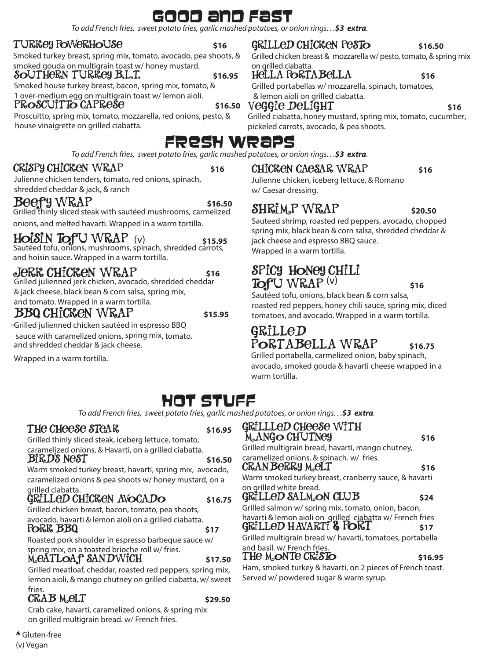# Good and fast

*To add French fries, sweet potato fries, garlic mashed potatoes, or onion rings. . .\$3 extra.*

### TURKey PoWeRHoUSe **\$16**

Smoked turkey breast, spring mix, tomato, avocado, pea shoots, & smoked gouda on multigrain toast w/ honey mustard.

### Southern Turkey B.L.T. **\$16.95**

Smoked house turkey breast, bacon, spring mix, tomato, & 1 over-medium egg on multigrain toast w/ lemon aioli.

### PROSCUITTO CAPRESE \$16.50

Proscuitto, spring mix, tomato, mozzarella, red onions, pesto, & house vinaigrette on grilled ciabatta.

# Fresh Wraps

*To add French fries, sweet potato fries, garlic mashed potatoes, or onion rings. . .\$3 extra.*

### CRISPY CHICKEN WRAP 516

Julienne chicken tenders, tomato, red onions, spinach, shredded cheddar & jack, & ranch

### Beefy WRAP \$16.50

Grilled thinly sliced steak with sautéed mushrooms, carmelized

onions, and melted havarti. Wrapped in a warm tortilla.

### $HoiSIN$  Tof U WRAP  $(v)$

Sautéed tofu, onions, mushrooms, spinach, shredded carrots, and hoisin sauce. Wrapped in a warm tortilla.

### Jerk Chicken Wrap **\$16**

Grilled julienned jerk chicken, avocado, shredded cheddar & jack cheese, black bean & corn salsa, spring mix, and tomato. Wrapped in a warm tortilla.

### BBQ CHICKEN WRAP \$15.95

Grilled julienned chicken sautéed in espresso BBQ sauce with caramelized onions, spring mix, tomato, and shredded cheddar & jack cheese.

Wrapped in a warm tortilla.

### GRILLED CHICKEN PESTO \$16.50

Grilled chicken breast & mozzarella w/ pesto, tomato, & spring mix on grilled ciabatta.

### hella portabella **\$16**

Grilled portabellas w/ mozzarella, spinach, tomatoes, & lemon aioli on grilled ciabatta.

### Veggie DeLigHT s<sub>16</sub>

Grilled ciabatta, honey mustard, spring mix, tomato, cucumber, pickeled carrots, avocado, & pea shoots.

### CHICKEN CAESAR WRAP \$16

Julienne chicken, iceberg lettuce, & Romano w/ Caesar dressing.

### shrimp Wrap **\$20.50**

Sauteed shrimp, roasted red peppers, avocado, chopped spring mix, black bean & corn salsa, shredded cheddar & jack cheese and espresso BBQ sauce. Wrapped in a warm tortilla.

### Spicy honey chili  $T\Omega f^{\text{U}}$  WRAP  $^{(v)}$  \$16

Sautéed tofu, onions, black bean & corn salsa, roasted red peppers, honey chili sauce, spring mix, diced tomatoes, and avocado. Wrapped in a warm tortilla.

### Grilled PORTABELLA WRAP \$16.75

Grilled portabella, carmelized onion, baby spinach, avocado, smoked gouda & havarti cheese wrapped in a warm tortilla.

# HOT STUFF

*To add French fries, sweet potato fries, garlic mashed potatoes, or onion rings. . .\$3 extra.*

### THE CHEESE STEAK **\$16.95**

Grilled thinly sliced steak, iceberg lettuce, tomato, caramelized onions, & Havarti, on a grilled ciabatta. **BIRD'S NEST** \$16.50

Warm smoked turkey breast, havarti, spring mix, avocado, caramelized onions & pea shoots w/ honey mustard, on a grilled ciabatta.

### GRILLED CHICKEN AVOCADO \$16.75

Grilled chicken breast, bacon, tomato, pea shoots, avocado, havarti & lemon aioli on a grilled ciabatta.

### **PORK BBQ** \$17

Roasted pork shoulder in espresso barbeque sauce w/ spring mix, on a toasted brioche roll w/ fries.

### Meatloaf SandWich **\$17.50**

Grilled meatloaf, cheddar, roasted red peppers, spring mix, lemon aioli, & mango chutney on grilled ciabatta, w/ sweet fries.

### $CRAB$  MeLT  $$29.50$

Crab cake, havarti, caramelized onions, & spring mix on grilled multigrain bread. w/ French fries.

Grillled Cheese with

### M<sub>a</sub> ANGO CHUTNEY 516 Grilled multigrain bread, havarti, mango chutney, caramelized onions, & spinach. w/ fries. CRANBERRY M.ELT \$16 Warm smoked turkey breast, cranberry sauce, & havarti on grilled white bread. grilled Salmon Club **\$24** Grilled salmon w/ spring mix, tomato, onion, bacon, havarti & lemon aioli on grilled ciabatta w/ French fries GRILLED HAVARTI **& PORT** \$17 Grilled multigrain bread w/ havarti, tomatoes, portabella and basil. w/ French fries.

### $THE M_{\odot}NTE CRISTO$  \$16.95

Ham, smoked turkey & havarti, on 2 pieces of French toast. Served w/ powdered sugar & warm syrup.

\* Gluten-free (v) Vegan